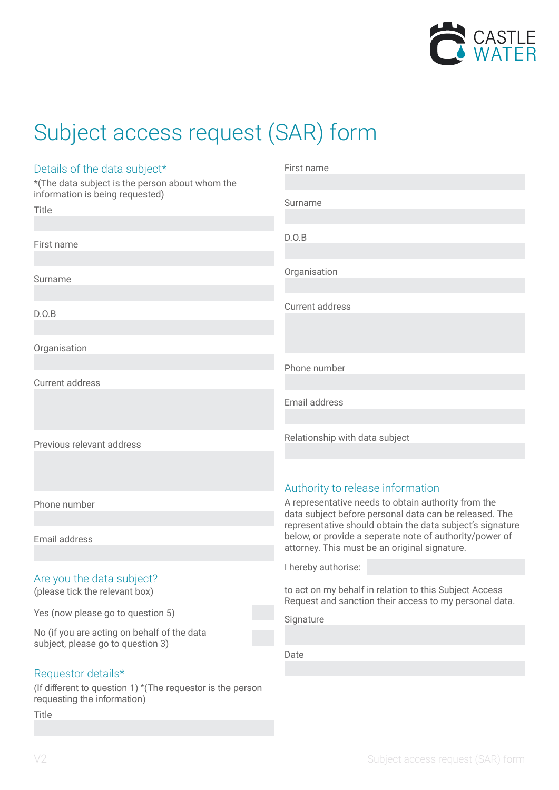

# Subject access request (SAR) form

| Details of the data subject*<br>*(The data subject is the person about whom the           | First name                                                                                                                                                            |
|-------------------------------------------------------------------------------------------|-----------------------------------------------------------------------------------------------------------------------------------------------------------------------|
| information is being requested)<br>Title                                                  | Surname                                                                                                                                                               |
| First name                                                                                | D.O.B                                                                                                                                                                 |
| Surname                                                                                   | Organisation                                                                                                                                                          |
| D.O.B                                                                                     | Current address                                                                                                                                                       |
| Organisation                                                                              |                                                                                                                                                                       |
| Current address                                                                           | Phone number                                                                                                                                                          |
|                                                                                           | Email address                                                                                                                                                         |
| Previous relevant address                                                                 | Relationship with data subject                                                                                                                                        |
|                                                                                           | Authority to release information                                                                                                                                      |
| Phone number                                                                              | A representative needs to obtain authority from the<br>data subject before personal data can be released. The                                                         |
| Email address                                                                             | representative should obtain the data subject's signature<br>below, or provide a seperate note of authority/power of<br>attorney. This must be an original signature. |
|                                                                                           | I hereby authorise:                                                                                                                                                   |
| Are you the data subject?<br>(please tick the relevant box)                               | to act on my behalf in relation to this Subject Access<br>Request and sanction their access to my personal data.                                                      |
| Yes (now please go to question 5)                                                         | Signature                                                                                                                                                             |
| No (if you are acting on behalf of the data<br>subject, please go to question 3)          |                                                                                                                                                                       |
|                                                                                           | Date                                                                                                                                                                  |
| Requestor details*                                                                        |                                                                                                                                                                       |
| (If different to question 1) *(The requestor is the person<br>requesting the information) |                                                                                                                                                                       |

Title